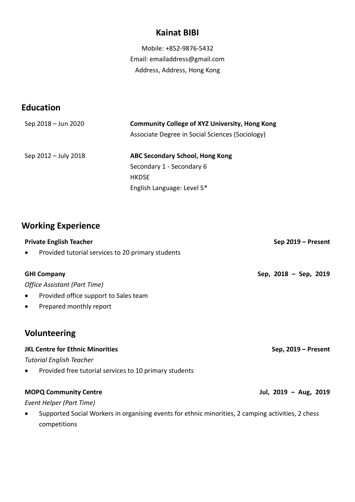#### **Kainat BIBI**

Mobile: +852-9876-5432 Email: emailaddress@gmail.com Address, Address, Hong Kong

### **Education**

| Sep 2018 - Jun 2020  | <b>Community College of XYZ University, Hong Kong</b> |  |
|----------------------|-------------------------------------------------------|--|
|                      | Associate Degree in Social Sciences (Sociology)       |  |
| Sep 2012 – July 2018 | ABC Secondary School, Hong Kong                       |  |
|                      | Secondary 1 - Secondary 6                             |  |
|                      | <b>HKDSE</b>                                          |  |
|                      | English Language: Level 5*                            |  |

# **Working Experience**

| <b>Private English Teacher</b>                                                                                                  | Sep 2019 - Present       |
|---------------------------------------------------------------------------------------------------------------------------------|--------------------------|
| Provided tutorial services to 20 primary students<br>$\bullet$                                                                  |                          |
| <b>GHI Company</b>                                                                                                              | Sep, $2018 - Sep$ , 2019 |
| Office Assistant (Part Time)                                                                                                    |                          |
| Provided office support to Sales team<br>$\bullet$                                                                              |                          |
| Prepared monthly report<br>$\bullet$                                                                                            |                          |
| <b>Volunteering</b>                                                                                                             |                          |
| <b>JKL Centre for Ethnic Minorities</b>                                                                                         | Sep, 2019 - Present      |
| <b>Tutorial English Teacher</b>                                                                                                 |                          |
| Provided free tutorial services to 10 primary students<br>$\bullet$                                                             |                          |
| <b>MOPQ Community Centre</b>                                                                                                    | Jul, 2019 - Aug, 2019    |
| Event Helper (Part Time)                                                                                                        |                          |
| Supported Social Workers in organising events for ethnic minorities, 2 camping activities, 2 chess<br>$\bullet$<br>competitions |                          |